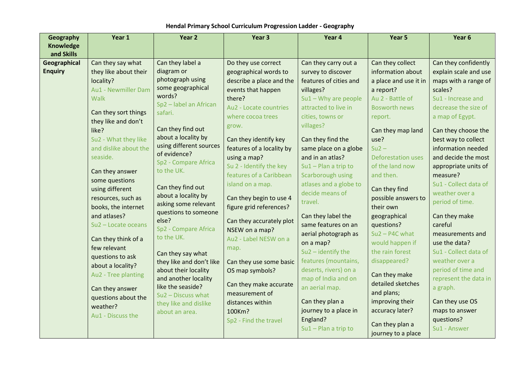| Geography        | Year 1                                | Year 2                        | Year 3                                     | Year 4                 | Year 5                    | Year 6                |
|------------------|---------------------------------------|-------------------------------|--------------------------------------------|------------------------|---------------------------|-----------------------|
| <b>Knowledge</b> |                                       |                               |                                            |                        |                           |                       |
| and Skills       |                                       |                               |                                            |                        |                           |                       |
| Geographical     | Can they say what                     | Can they label a              | Do they use correct                        | Can they carry out a   | Can they collect          | Can they confidently  |
| <b>Enquiry</b>   | they like about their                 | diagram or                    | geographical words to                      | survey to discover     | information about         | explain scale and use |
|                  | locality?                             | photograph using              | describe a place and the                   | features of cities and | a place and use it in     | maps with a range of  |
|                  | <b>Au1 - Newmiller Dam</b>            | some geographical<br>words?   | events that happen                         | villages?              | a report?                 | scales?               |
|                  | <b>Walk</b>                           | Sp2 - label an African        | there?                                     | $Su1 - Why$ are people | Au 2 - Battle of          | Su1 - Increase and    |
|                  | Can they sort things                  | safari.                       | Au2 - Locate countries                     | attracted to live in   | <b>Bosworth news</b>      | decrease the size of  |
|                  | they like and don't                   |                               | where cocoa trees                          | cities, towns or       | report.                   | a map of Egypt.       |
|                  | like?                                 | Can they find out             | grow.                                      | villages?              | Can they map land         | Can they choose the   |
|                  | Su2 - What they like                  | about a locality by           | Can they identify key                      | Can they find the      | use?                      | best way to collect   |
|                  | and dislike about the                 | using different sources       | features of a locality by                  | same place on a globe  | $Su2 -$                   | information needed    |
|                  | seaside.                              | of evidence?                  | using a map?                               | and in an atlas?       | <b>Deforestation uses</b> | and decide the most   |
|                  |                                       | Sp2 - Compare Africa          | Su 2 - Identify the key                    | $Su1 - Plan$ a trip to | of the land now           | appropriate units of  |
|                  | Can they answer                       | to the UK.                    | features of a Caribbean                    | Scarborough using      | and then.                 | measure?              |
|                  | some questions                        |                               | island on a map.                           | atlases and a globe to |                           | Su1 - Collect data of |
|                  | using different                       | Can they find out             |                                            | decide means of        | Can they find             | weather over a        |
|                  | resources, such as                    | about a locality by           | Can they begin to use 4                    | travel.                | possible answers to       | period of time.       |
|                  | books, the internet                   | asking some relevant          | figure grid references?                    |                        | their own                 |                       |
|                  | and atlases?                          | questions to someone<br>else? |                                            | Can they label the     | geographical              | Can they make         |
|                  | Su2 - Locate oceans                   | Sp2 - Compare Africa          | Can they accurately plot<br>NSEW on a map? | same features on an    | questions?                | careful               |
|                  |                                       | to the UK.                    | Au2 - Label NESW on a                      | aerial photograph as   | $Su2 - P4C$ what          | measurements and      |
|                  | Can they think of a<br>few relevant   |                               |                                            | on a map?              | would happen if           | use the data?         |
|                  |                                       | Can they say what             | map.                                       | $Su2$ – identify the   | the rain forest           | Su1 - Collect data of |
|                  | questions to ask<br>about a locality? | they like and don't like      | Can they use some basic                    | features (mountains,   | disappeared?              | weather over a        |
|                  | Au2 - Tree planting                   | about their locality          | OS map symbols?                            | deserts, rivers) on a  | Can they make             | period of time and    |
|                  |                                       | and another locality          |                                            | map of India and on    | detailed sketches         | represent the data in |
|                  | Can they answer                       | like the seaside?             | Can they make accurate                     | an aerial map.         | and plans;                | a graph.              |
|                  | questions about the                   | Su2 - Discuss what            | measurement of                             | Can they plan a        | improving their           | Can they use OS       |
|                  | weather?                              | they like and dislike         | distances within<br>100Km?                 | journey to a place in  | accuracy later?           | maps to answer        |
|                  | Au1 - Discuss the                     | about an area.                |                                            | England?               |                           | questions?            |
|                  |                                       |                               | Sp2 - Find the travel                      | $Su1 - Plan$ a trip to | Can they plan a           | Su1 - Answer          |
|                  |                                       |                               |                                            |                        | journey to a place        |                       |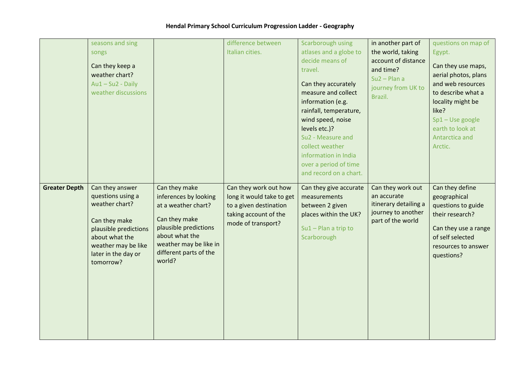|                      | seasons and sing<br>songs<br>Can they keep a<br>weather chart?<br>$Au1 - Su2 - Daily$<br>weather discussions                                                                  |                                                                                                                                                                                         | difference between<br>Italian cities.                                                                                       | Scarborough using<br>atlases and a globe to<br>decide means of<br>travel.<br>Can they accurately<br>measure and collect<br>information (e.g.<br>rainfall, temperature,<br>wind speed, noise<br>levels etc.)?<br>Su2 - Measure and<br>collect weather<br>information in India<br>over a period of time<br>and record on a chart. | in another part of<br>the world, taking<br>account of distance<br>and time?<br>$Su2 - Plan$ a<br>journey from UK to<br>Brazil. | questions on map of<br>Egypt.<br>Can they use maps,<br>aerial photos, plans<br>and web resources<br>to describe what a<br>locality might be<br>like?<br>$Sp1 - Use Google$<br>earth to look at<br>Antarctica and<br>Arctic. |
|----------------------|-------------------------------------------------------------------------------------------------------------------------------------------------------------------------------|-----------------------------------------------------------------------------------------------------------------------------------------------------------------------------------------|-----------------------------------------------------------------------------------------------------------------------------|---------------------------------------------------------------------------------------------------------------------------------------------------------------------------------------------------------------------------------------------------------------------------------------------------------------------------------|--------------------------------------------------------------------------------------------------------------------------------|-----------------------------------------------------------------------------------------------------------------------------------------------------------------------------------------------------------------------------|
| <b>Greater Depth</b> | Can they answer<br>questions using a<br>weather chart?<br>Can they make<br>plausible predictions<br>about what the<br>weather may be like<br>later in the day or<br>tomorrow? | Can they make<br>inferences by looking<br>at a weather chart?<br>Can they make<br>plausible predictions<br>about what the<br>weather may be like in<br>different parts of the<br>world? | Can they work out how<br>long it would take to get<br>to a given destination<br>taking account of the<br>mode of transport? | Can they give accurate<br>measurements<br>between 2 given<br>places within the UK?<br>$Su1 - Plan$ a trip to<br>Scarborough                                                                                                                                                                                                     | Can they work out<br>an accurate<br>itinerary detailing a<br>journey to another<br>part of the world                           | Can they define<br>geographical<br>questions to guide<br>their research?<br>Can they use a range<br>of self selected<br>resources to answer<br>questions?                                                                   |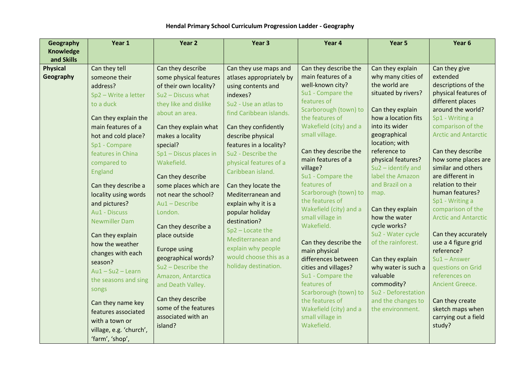| <b>Geography</b> | Year 1                       | Year 2                                     | Year <sub>3</sub>        | Year 4                               | Year 5                        | Year 6                                |
|------------------|------------------------------|--------------------------------------------|--------------------------|--------------------------------------|-------------------------------|---------------------------------------|
| <b>Knowledge</b> |                              |                                            |                          |                                      |                               |                                       |
| and Skills       |                              |                                            |                          |                                      |                               |                                       |
| <b>Physical</b>  | Can they tell                | Can they describe                          | Can they use maps and    | Can they describe the                | Can they explain              | Can they give                         |
| Geography        | someone their                | some physical features                     | atlases appropriately by | main features of a                   | why many cities of            | extended                              |
|                  | address?                     | of their own locality?                     | using contents and       | well-known city?                     | the world are                 | descriptions of the                   |
|                  | Sp2 - Write a letter         | $Su2 - Discuss what$                       | indexes?                 | Su1 - Compare the                    | situated by rivers?           | physical features of                  |
|                  | to a duck                    | they like and dislike                      | Su2 - Use an atlas to    | features of<br>Scarborough (town) to | Can they explain              | different places<br>around the world? |
|                  | Can they explain the         | about an area.                             | find Caribbean islands.  | the features of                      | how a location fits           | Sp1 - Writing a                       |
|                  | main features of a           | Can they explain what                      | Can they confidently     | Wakefield (city) and a               | into its wider                | comparison of the                     |
|                  | hot and cold place?          | makes a locality                           | describe physical        | small village.                       | geographical                  | <b>Arctic and Antarctic</b>           |
|                  | Sp1 - Compare                | special?                                   | features in a locality?  |                                      | location; with                |                                       |
|                  | features in China            | Sp1 - Discus places in                     | Su2 - Describe the       | Can they describe the                | reference to                  | Can they describe                     |
|                  | compared to                  | Wakefield.                                 | physical features of a   | main features of a                   | physical features?            | how some places are                   |
|                  | England                      |                                            | Caribbean island.        | village?                             | $Su2$ – identify and          | similar and others                    |
|                  |                              | Can they describe                          |                          | Su1 - Compare the                    | label the Amazon              | are different in                      |
|                  | Can they describe a          | some places which are                      | Can they locate the      | features of                          | and Brazil on a               | relation to their                     |
|                  | locality using words         | not near the school?                       | Mediterranean and        | Scarborough (town) to                | map.                          | human features?                       |
|                  | and pictures?                | Au1-Describe                               | explain why it is a      | the features of                      |                               | Sp1 - Writing a                       |
|                  | Au1 - Discuss                | London.                                    | popular holiday          | Wakefield (city) and a               | Can they explain              | comparison of the                     |
|                  | <b>Newmiller Dam</b>         |                                            | destination?             | small village in<br>Wakefield.       | how the water<br>cycle works? | <b>Arctic and Antarctic</b>           |
|                  |                              | Can they describe a                        | $Sp2 - Locate the$       |                                      | Su2 - Water cycle             | Can they accurately                   |
|                  | Can they explain             | place outside                              | Mediterranean and        | Can they describe the                | of the rainforest.            | use a 4 figure grid                   |
|                  | how the weather              | Europe using                               | explain why people       | main physical                        |                               | reference?                            |
|                  | changes with each<br>season? | geographical words?                        | would choose this as a   | differences between                  | Can they explain              | $Su1 - Answer$                        |
|                  | $Au1 - Su2 - Learn$          | $Su2 - Describe$ the                       | holiday destination.     | cities and villages?                 | why water is such a           | questions on Grid                     |
|                  | the seasons and sing         | Amazon, Antarctica                         |                          | Su1 - Compare the                    | valuable                      | references on                         |
|                  |                              | and Death Valley.                          |                          | features of                          | commodity?                    | Ancient Greece.                       |
|                  | songs                        |                                            |                          | Scarborough (town) to                | Su2 - Deforestation           |                                       |
|                  | Can they name key            | Can they describe                          |                          | the features of                      | and the changes to            | Can they create                       |
|                  | features associated          | some of the features<br>associated with an |                          | Wakefield (city) and a               | the environment.              | sketch maps when                      |
|                  | with a town or               |                                            |                          | small village in<br>Wakefield.       |                               | carrying out a field                  |
|                  | village, e.g. 'church',      | island?                                    |                          |                                      |                               | study?                                |
|                  | 'farm', 'shop',              |                                            |                          |                                      |                               |                                       |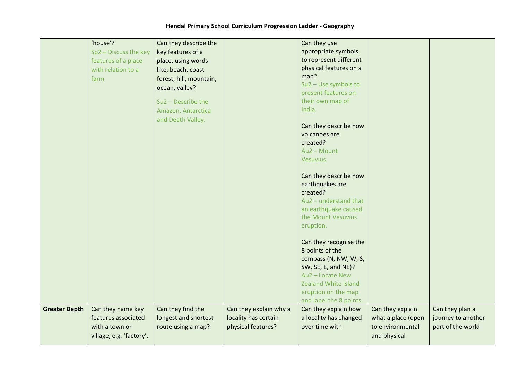|                      | 'house'?                 | Can they describe the   |                        | Can they use                           |                    |                    |
|----------------------|--------------------------|-------------------------|------------------------|----------------------------------------|--------------------|--------------------|
|                      | Sp2 - Discuss the key    | key features of a       |                        | appropriate symbols                    |                    |                    |
|                      | features of a place      | place, using words      |                        | to represent different                 |                    |                    |
|                      | with relation to a       | like, beach, coast      |                        | physical features on a                 |                    |                    |
|                      | farm                     | forest, hill, mountain, |                        | map?                                   |                    |                    |
|                      |                          | ocean, valley?          |                        | Su2 - Use symbols to                   |                    |                    |
|                      |                          |                         |                        | present features on                    |                    |                    |
|                      |                          | Su2 - Describe the      |                        | their own map of                       |                    |                    |
|                      |                          | Amazon, Antarctica      |                        | India.                                 |                    |                    |
|                      |                          | and Death Valley.       |                        |                                        |                    |                    |
|                      |                          |                         |                        | Can they describe how<br>volcanoes are |                    |                    |
|                      |                          |                         |                        | created?                               |                    |                    |
|                      |                          |                         |                        | Au2 - Mount                            |                    |                    |
|                      |                          |                         |                        | Vesuvius.                              |                    |                    |
|                      |                          |                         |                        |                                        |                    |                    |
|                      |                          |                         |                        | Can they describe how                  |                    |                    |
|                      |                          |                         |                        | earthquakes are                        |                    |                    |
|                      |                          |                         |                        | created?                               |                    |                    |
|                      |                          |                         |                        | Au2 - understand that                  |                    |                    |
|                      |                          |                         |                        | an earthquake caused                   |                    |                    |
|                      |                          |                         |                        | the Mount Vesuvius                     |                    |                    |
|                      |                          |                         |                        | eruption.                              |                    |                    |
|                      |                          |                         |                        |                                        |                    |                    |
|                      |                          |                         |                        | Can they recognise the                 |                    |                    |
|                      |                          |                         |                        | 8 points of the                        |                    |                    |
|                      |                          |                         |                        | compass (N, NW, W, S,                  |                    |                    |
|                      |                          |                         |                        | SW, SE, E, and NE)?                    |                    |                    |
|                      |                          |                         |                        | Au2 - Locate New                       |                    |                    |
|                      |                          |                         |                        | <b>Zealand White Island</b>            |                    |                    |
|                      |                          |                         |                        | eruption on the map                    |                    |                    |
|                      |                          |                         |                        | and label the 8 points.                |                    |                    |
| <b>Greater Depth</b> | Can they name key        | Can they find the       | Can they explain why a | Can they explain how                   | Can they explain   | Can they plan a    |
|                      | features associated      | longest and shortest    | locality has certain   | a locality has changed                 | what a place (open | journey to another |
|                      | with a town or           | route using a map?      | physical features?     | over time with                         | to environmental   | part of the world  |
|                      | village, e.g. 'factory', |                         |                        |                                        | and physical       |                    |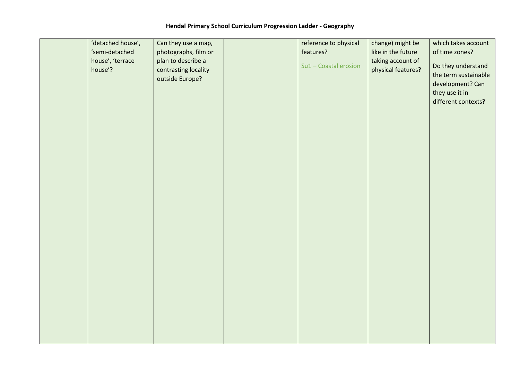| 'detached house', | Can they use a map,  | reference to physical | change) might be   | which takes account                |
|-------------------|----------------------|-----------------------|--------------------|------------------------------------|
| 'semi-detached    | photographs, film or | features?             | like in the future | of time zones?                     |
| house', 'terrace  | plan to describe a   |                       | taking account of  |                                    |
| house'?           | contrasting locality | Su1 - Coastal erosion | physical features? | Do they understand                 |
|                   | outside Europe?      |                       |                    | the term sustainable               |
|                   |                      |                       |                    | development? Can<br>they use it in |
|                   |                      |                       |                    | different contexts?                |
|                   |                      |                       |                    |                                    |
|                   |                      |                       |                    |                                    |
|                   |                      |                       |                    |                                    |
|                   |                      |                       |                    |                                    |
|                   |                      |                       |                    |                                    |
|                   |                      |                       |                    |                                    |
|                   |                      |                       |                    |                                    |
|                   |                      |                       |                    |                                    |
|                   |                      |                       |                    |                                    |
|                   |                      |                       |                    |                                    |
|                   |                      |                       |                    |                                    |
|                   |                      |                       |                    |                                    |
|                   |                      |                       |                    |                                    |
|                   |                      |                       |                    |                                    |
|                   |                      |                       |                    |                                    |
|                   |                      |                       |                    |                                    |
|                   |                      |                       |                    |                                    |
|                   |                      |                       |                    |                                    |
|                   |                      |                       |                    |                                    |
|                   |                      |                       |                    |                                    |
|                   |                      |                       |                    |                                    |
|                   |                      |                       |                    |                                    |
|                   |                      |                       |                    |                                    |
|                   |                      |                       |                    |                                    |
|                   |                      |                       |                    |                                    |
|                   |                      |                       |                    |                                    |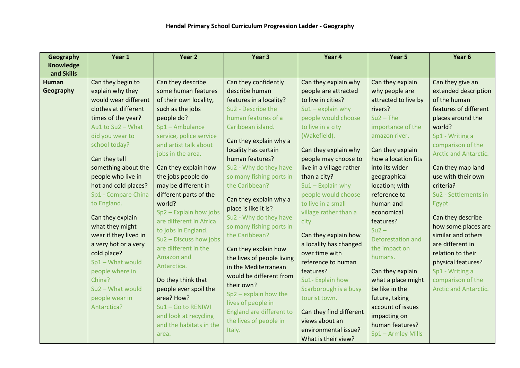| Year 1               | Year 2                                                                                                                                                                                                                                                                                                                                                                                               | Year <sub>3</sub>                                                                                                                                                                                                                                                                                                                                                                                                                              | Year 4                                                                                                                                                                                                                                                                                                                                                                                                   | Year 5                                                                                                                                                                                                                                                                                                                                                                                                                                                                                                                               | Year 6                                                                                                                                                                                                                                                                                                                                                                                                        |
|----------------------|------------------------------------------------------------------------------------------------------------------------------------------------------------------------------------------------------------------------------------------------------------------------------------------------------------------------------------------------------------------------------------------------------|------------------------------------------------------------------------------------------------------------------------------------------------------------------------------------------------------------------------------------------------------------------------------------------------------------------------------------------------------------------------------------------------------------------------------------------------|----------------------------------------------------------------------------------------------------------------------------------------------------------------------------------------------------------------------------------------------------------------------------------------------------------------------------------------------------------------------------------------------------------|--------------------------------------------------------------------------------------------------------------------------------------------------------------------------------------------------------------------------------------------------------------------------------------------------------------------------------------------------------------------------------------------------------------------------------------------------------------------------------------------------------------------------------------|---------------------------------------------------------------------------------------------------------------------------------------------------------------------------------------------------------------------------------------------------------------------------------------------------------------------------------------------------------------------------------------------------------------|
|                      |                                                                                                                                                                                                                                                                                                                                                                                                      |                                                                                                                                                                                                                                                                                                                                                                                                                                                |                                                                                                                                                                                                                                                                                                                                                                                                          |                                                                                                                                                                                                                                                                                                                                                                                                                                                                                                                                      |                                                                                                                                                                                                                                                                                                                                                                                                               |
|                      |                                                                                                                                                                                                                                                                                                                                                                                                      |                                                                                                                                                                                                                                                                                                                                                                                                                                                |                                                                                                                                                                                                                                                                                                                                                                                                          |                                                                                                                                                                                                                                                                                                                                                                                                                                                                                                                                      |                                                                                                                                                                                                                                                                                                                                                                                                               |
|                      |                                                                                                                                                                                                                                                                                                                                                                                                      |                                                                                                                                                                                                                                                                                                                                                                                                                                                |                                                                                                                                                                                                                                                                                                                                                                                                          |                                                                                                                                                                                                                                                                                                                                                                                                                                                                                                                                      | Can they give an                                                                                                                                                                                                                                                                                                                                                                                              |
|                      |                                                                                                                                                                                                                                                                                                                                                                                                      |                                                                                                                                                                                                                                                                                                                                                                                                                                                |                                                                                                                                                                                                                                                                                                                                                                                                          |                                                                                                                                                                                                                                                                                                                                                                                                                                                                                                                                      | extended description                                                                                                                                                                                                                                                                                                                                                                                          |
|                      |                                                                                                                                                                                                                                                                                                                                                                                                      |                                                                                                                                                                                                                                                                                                                                                                                                                                                |                                                                                                                                                                                                                                                                                                                                                                                                          |                                                                                                                                                                                                                                                                                                                                                                                                                                                                                                                                      | of the human                                                                                                                                                                                                                                                                                                                                                                                                  |
| clothes at different | such as the jobs                                                                                                                                                                                                                                                                                                                                                                                     | Su2 - Describe the                                                                                                                                                                                                                                                                                                                                                                                                                             | $Su1 - explain$ why                                                                                                                                                                                                                                                                                                                                                                                      | rivers?                                                                                                                                                                                                                                                                                                                                                                                                                                                                                                                              | features of different                                                                                                                                                                                                                                                                                                                                                                                         |
| times of the year?   | people do?                                                                                                                                                                                                                                                                                                                                                                                           | human features of a                                                                                                                                                                                                                                                                                                                                                                                                                            | people would choose                                                                                                                                                                                                                                                                                                                                                                                      | $Su2$ – The                                                                                                                                                                                                                                                                                                                                                                                                                                                                                                                          | places around the                                                                                                                                                                                                                                                                                                                                                                                             |
| Au1 to Su2 - What    | Sp1-Ambulance                                                                                                                                                                                                                                                                                                                                                                                        | Caribbean island.                                                                                                                                                                                                                                                                                                                                                                                                                              | to live in a city                                                                                                                                                                                                                                                                                                                                                                                        | importance of the                                                                                                                                                                                                                                                                                                                                                                                                                                                                                                                    | world?                                                                                                                                                                                                                                                                                                                                                                                                        |
| did you wear to      | service, police service                                                                                                                                                                                                                                                                                                                                                                              |                                                                                                                                                                                                                                                                                                                                                                                                                                                | (Wakefield).                                                                                                                                                                                                                                                                                                                                                                                             | amazon river.                                                                                                                                                                                                                                                                                                                                                                                                                                                                                                                        | Sp1 - Writing a                                                                                                                                                                                                                                                                                                                                                                                               |
| school today?        | and artist talk about                                                                                                                                                                                                                                                                                                                                                                                |                                                                                                                                                                                                                                                                                                                                                                                                                                                |                                                                                                                                                                                                                                                                                                                                                                                                          |                                                                                                                                                                                                                                                                                                                                                                                                                                                                                                                                      | comparison of the                                                                                                                                                                                                                                                                                                                                                                                             |
|                      | jobs in the area.                                                                                                                                                                                                                                                                                                                                                                                    |                                                                                                                                                                                                                                                                                                                                                                                                                                                |                                                                                                                                                                                                                                                                                                                                                                                                          |                                                                                                                                                                                                                                                                                                                                                                                                                                                                                                                                      | <b>Arctic and Antarctic.</b>                                                                                                                                                                                                                                                                                                                                                                                  |
|                      |                                                                                                                                                                                                                                                                                                                                                                                                      |                                                                                                                                                                                                                                                                                                                                                                                                                                                |                                                                                                                                                                                                                                                                                                                                                                                                          |                                                                                                                                                                                                                                                                                                                                                                                                                                                                                                                                      |                                                                                                                                                                                                                                                                                                                                                                                                               |
|                      |                                                                                                                                                                                                                                                                                                                                                                                                      |                                                                                                                                                                                                                                                                                                                                                                                                                                                |                                                                                                                                                                                                                                                                                                                                                                                                          |                                                                                                                                                                                                                                                                                                                                                                                                                                                                                                                                      | Can they map land                                                                                                                                                                                                                                                                                                                                                                                             |
|                      |                                                                                                                                                                                                                                                                                                                                                                                                      |                                                                                                                                                                                                                                                                                                                                                                                                                                                |                                                                                                                                                                                                                                                                                                                                                                                                          |                                                                                                                                                                                                                                                                                                                                                                                                                                                                                                                                      | use with their own                                                                                                                                                                                                                                                                                                                                                                                            |
|                      |                                                                                                                                                                                                                                                                                                                                                                                                      |                                                                                                                                                                                                                                                                                                                                                                                                                                                |                                                                                                                                                                                                                                                                                                                                                                                                          |                                                                                                                                                                                                                                                                                                                                                                                                                                                                                                                                      | criteria?                                                                                                                                                                                                                                                                                                                                                                                                     |
|                      |                                                                                                                                                                                                                                                                                                                                                                                                      |                                                                                                                                                                                                                                                                                                                                                                                                                                                |                                                                                                                                                                                                                                                                                                                                                                                                          |                                                                                                                                                                                                                                                                                                                                                                                                                                                                                                                                      | Su2 - Settlements in                                                                                                                                                                                                                                                                                                                                                                                          |
|                      |                                                                                                                                                                                                                                                                                                                                                                                                      |                                                                                                                                                                                                                                                                                                                                                                                                                                                |                                                                                                                                                                                                                                                                                                                                                                                                          |                                                                                                                                                                                                                                                                                                                                                                                                                                                                                                                                      | Egypt.                                                                                                                                                                                                                                                                                                                                                                                                        |
|                      |                                                                                                                                                                                                                                                                                                                                                                                                      |                                                                                                                                                                                                                                                                                                                                                                                                                                                |                                                                                                                                                                                                                                                                                                                                                                                                          |                                                                                                                                                                                                                                                                                                                                                                                                                                                                                                                                      | Can they describe                                                                                                                                                                                                                                                                                                                                                                                             |
|                      |                                                                                                                                                                                                                                                                                                                                                                                                      |                                                                                                                                                                                                                                                                                                                                                                                                                                                |                                                                                                                                                                                                                                                                                                                                                                                                          |                                                                                                                                                                                                                                                                                                                                                                                                                                                                                                                                      | how some places are                                                                                                                                                                                                                                                                                                                                                                                           |
|                      |                                                                                                                                                                                                                                                                                                                                                                                                      |                                                                                                                                                                                                                                                                                                                                                                                                                                                |                                                                                                                                                                                                                                                                                                                                                                                                          |                                                                                                                                                                                                                                                                                                                                                                                                                                                                                                                                      | similar and others                                                                                                                                                                                                                                                                                                                                                                                            |
|                      |                                                                                                                                                                                                                                                                                                                                                                                                      |                                                                                                                                                                                                                                                                                                                                                                                                                                                |                                                                                                                                                                                                                                                                                                                                                                                                          |                                                                                                                                                                                                                                                                                                                                                                                                                                                                                                                                      | are different in                                                                                                                                                                                                                                                                                                                                                                                              |
|                      |                                                                                                                                                                                                                                                                                                                                                                                                      | Can they explain how                                                                                                                                                                                                                                                                                                                                                                                                                           |                                                                                                                                                                                                                                                                                                                                                                                                          | the impact on                                                                                                                                                                                                                                                                                                                                                                                                                                                                                                                        | relation to their                                                                                                                                                                                                                                                                                                                                                                                             |
|                      | Amazon and                                                                                                                                                                                                                                                                                                                                                                                           | the lives of people living                                                                                                                                                                                                                                                                                                                                                                                                                     |                                                                                                                                                                                                                                                                                                                                                                                                          | humans.                                                                                                                                                                                                                                                                                                                                                                                                                                                                                                                              | physical features?                                                                                                                                                                                                                                                                                                                                                                                            |
|                      | Antarctica.                                                                                                                                                                                                                                                                                                                                                                                          | in the Mediterranean                                                                                                                                                                                                                                                                                                                                                                                                                           |                                                                                                                                                                                                                                                                                                                                                                                                          |                                                                                                                                                                                                                                                                                                                                                                                                                                                                                                                                      | Sp1 - Writing a                                                                                                                                                                                                                                                                                                                                                                                               |
|                      |                                                                                                                                                                                                                                                                                                                                                                                                      | would be different from                                                                                                                                                                                                                                                                                                                                                                                                                        |                                                                                                                                                                                                                                                                                                                                                                                                          |                                                                                                                                                                                                                                                                                                                                                                                                                                                                                                                                      |                                                                                                                                                                                                                                                                                                                                                                                                               |
|                      |                                                                                                                                                                                                                                                                                                                                                                                                      | their own?                                                                                                                                                                                                                                                                                                                                                                                                                                     |                                                                                                                                                                                                                                                                                                                                                                                                          |                                                                                                                                                                                                                                                                                                                                                                                                                                                                                                                                      | comparison of the                                                                                                                                                                                                                                                                                                                                                                                             |
|                      |                                                                                                                                                                                                                                                                                                                                                                                                      | $Sp2$ – explain how the                                                                                                                                                                                                                                                                                                                                                                                                                        |                                                                                                                                                                                                                                                                                                                                                                                                          |                                                                                                                                                                                                                                                                                                                                                                                                                                                                                                                                      | <b>Arctic and Antarctic.</b>                                                                                                                                                                                                                                                                                                                                                                                  |
|                      |                                                                                                                                                                                                                                                                                                                                                                                                      | lives of people in                                                                                                                                                                                                                                                                                                                                                                                                                             |                                                                                                                                                                                                                                                                                                                                                                                                          |                                                                                                                                                                                                                                                                                                                                                                                                                                                                                                                                      |                                                                                                                                                                                                                                                                                                                                                                                                               |
|                      |                                                                                                                                                                                                                                                                                                                                                                                                      |                                                                                                                                                                                                                                                                                                                                                                                                                                                |                                                                                                                                                                                                                                                                                                                                                                                                          |                                                                                                                                                                                                                                                                                                                                                                                                                                                                                                                                      |                                                                                                                                                                                                                                                                                                                                                                                                               |
|                      |                                                                                                                                                                                                                                                                                                                                                                                                      |                                                                                                                                                                                                                                                                                                                                                                                                                                                |                                                                                                                                                                                                                                                                                                                                                                                                          |                                                                                                                                                                                                                                                                                                                                                                                                                                                                                                                                      |                                                                                                                                                                                                                                                                                                                                                                                                               |
|                      |                                                                                                                                                                                                                                                                                                                                                                                                      |                                                                                                                                                                                                                                                                                                                                                                                                                                                |                                                                                                                                                                                                                                                                                                                                                                                                          |                                                                                                                                                                                                                                                                                                                                                                                                                                                                                                                                      |                                                                                                                                                                                                                                                                                                                                                                                                               |
|                      | area.                                                                                                                                                                                                                                                                                                                                                                                                |                                                                                                                                                                                                                                                                                                                                                                                                                                                |                                                                                                                                                                                                                                                                                                                                                                                                          |                                                                                                                                                                                                                                                                                                                                                                                                                                                                                                                                      |                                                                                                                                                                                                                                                                                                                                                                                                               |
|                      | Can they begin to<br>explain why they<br>would wear different<br>Can they tell<br>something about the<br>people who live in<br>hot and cold places?<br>Sp1 - Compare China<br>to England.<br>Can they explain<br>what they might<br>wear if they lived in<br>a very hot or a very<br>cold place?<br>Sp1-What would<br>people where in<br>China?<br>Su2 - What would<br>people wear in<br>Antarctica? | Can they describe<br>some human features<br>of their own locality,<br>Can they explain how<br>the jobs people do<br>may be different in<br>different parts of the<br>world?<br>Sp2 - Explain how jobs<br>are different in Africa<br>to jobs in England.<br>Su2 - Discuss how jobs<br>are different in the<br>Do they think that<br>people ever spoil the<br>area? How?<br>Su1-Go to RENIWI<br>and look at recycling<br>and the habitats in the | Can they confidently<br>describe human<br>features in a locality?<br>Can they explain why a<br>locality has certain<br>human features?<br>Su2 - Why do they have<br>so many fishing ports in<br>the Caribbean?<br>Can they explain why a<br>place is like it is?<br>Su2 - Why do they have<br>so many fishing ports in<br>the Caribbean?<br>England are different to<br>the lives of people in<br>Italy. | Can they explain why<br>people are attracted<br>to live in cities?<br>Can they explain why<br>people may choose to<br>live in a village rather<br>than a city?<br>$Su1 -$ Explain why<br>people would choose<br>to live in a small<br>village rather than a<br>city.<br>Can they explain how<br>a locality has changed<br>over time with<br>reference to human<br>features?<br>Su1-Explain how<br>Scarborough is a busy<br>tourist town.<br>Can they find different<br>views about an<br>environmental issue?<br>What is their view? | Can they explain<br>why people are<br>attracted to live by<br>Can they explain<br>how a location fits<br>into its wider<br>geographical<br>location; with<br>reference to<br>human and<br>economical<br>features?<br>$Su2 -$<br>Deforestation and<br>Can they explain<br>what a place might<br>be like in the<br>future, taking<br>account of issues<br>impacting on<br>human features?<br>Sp1 - Armley Mills |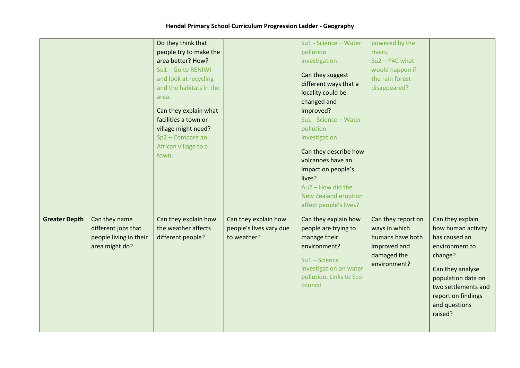|                      |                                                                                  | Do they think that<br>people try to make the<br>area better? How?<br>Su1-Go to RENIWI<br>and look at recycling<br>and the habitats in the<br>area.<br>Can they explain what<br>facilities a town or<br>village might need?<br>Sp2 - Compare an<br>African village to a<br>town. |                                                                | Su1 - Science - Water<br>pollution<br>investigation.<br>Can they suggest<br>different ways that a<br>locality could be<br>changed and<br>improved?<br>Su1 - Science - Water<br>pollution<br>investigation.<br>Can they describe how<br>volcanoes have an<br>impact on people's<br>lives?<br>$Au2 - How$ did the<br><b>New Zealand eruption</b><br>affect people's lives? | powered by the<br>rivers.<br>$Su2 - P4C$ what<br>would happen if<br>the rain forest<br>disappeared?    |                                                                                                                                                                                                         |
|----------------------|----------------------------------------------------------------------------------|---------------------------------------------------------------------------------------------------------------------------------------------------------------------------------------------------------------------------------------------------------------------------------|----------------------------------------------------------------|--------------------------------------------------------------------------------------------------------------------------------------------------------------------------------------------------------------------------------------------------------------------------------------------------------------------------------------------------------------------------|--------------------------------------------------------------------------------------------------------|---------------------------------------------------------------------------------------------------------------------------------------------------------------------------------------------------------|
| <b>Greater Depth</b> | Can they name<br>different jobs that<br>people living in their<br>area might do? | Can they explain how<br>the weather affects<br>different people?                                                                                                                                                                                                                | Can they explain how<br>people's lives vary due<br>to weather? | Can they explain how<br>people are trying to<br>manage their<br>environment?<br>$Su1 - Science$<br>investigation on water<br>pollution. Links to Eco<br>council                                                                                                                                                                                                          | Can they report on<br>ways in which<br>humans have both<br>improved and<br>damaged the<br>environment? | Can they explain<br>how human activity<br>has caused an<br>environment to<br>change?<br>Can they analyse<br>population data on<br>two settlements and<br>report on findings<br>and questions<br>raised? |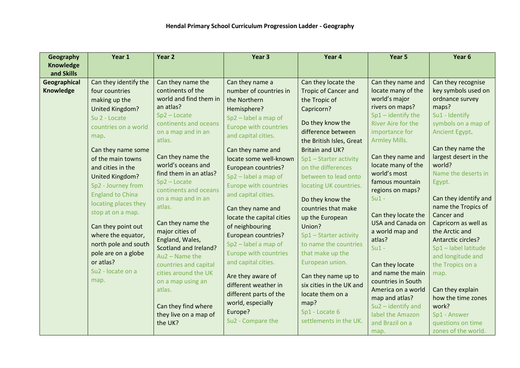| Geography        | Year 1                        | Year 2                                      | Year <sub>3</sub>            | Year 4                      | Year 5                                     | Year 6                                |
|------------------|-------------------------------|---------------------------------------------|------------------------------|-----------------------------|--------------------------------------------|---------------------------------------|
| <b>Knowledge</b> |                               |                                             |                              |                             |                                            |                                       |
| and Skills       |                               |                                             |                              |                             |                                            |                                       |
| Geographical     | Can they identify the         | Can they name the                           | Can they name a              | Can they locate the         | Can they name and                          | Can they recognise                    |
| Knowledge        | four countries                | continents of the                           | number of countries in       | <b>Tropic of Cancer and</b> | locate many of the                         | key symbols used on                   |
|                  | making up the                 | world and find them in                      | the Northern                 | the Tropic of               | world's major                              | ordnance survey                       |
|                  | United Kingdom?               | an atlas?                                   | Hemisphere?                  | Capricorn?                  | rivers on maps?                            | maps?                                 |
|                  | Su 2 - Locate                 | $Sp2 - Locate$                              | Sp2 - label a map of         | Do they know the            | $Sp1 -$ identify the<br>River Aire for the | Su1 - Identify                        |
|                  | countries on a world          | continents and oceans<br>on a map and in an | <b>Europe with countries</b> | difference between          | importance for                             | symbols on a map of<br>Ancient Egypt. |
|                  | map.                          | atlas.                                      | and capital cities.          |                             | <b>Armley Mills.</b>                       |                                       |
|                  |                               |                                             |                              | the British Isles, Great    |                                            | Can they name the                     |
|                  | Can they name some            | Can they name the                           | Can they name and            | <b>Britain and UK?</b>      | Can they name and                          | largest desert in the                 |
|                  | of the main towns             | world's oceans and                          | locate some well-known       | Sp1 - Starter activity      | locate many of the                         | world?                                |
|                  | and cities in the             | find them in an atlas?                      | <b>European countries?</b>   | on the differences          | world's most                               | Name the deserts in                   |
|                  | United Kingdom?               | $Sp2 - Locate$                              | Sp2 - label a map of         | between to lead onto        | famous mountain                            | Egypt.                                |
|                  | Sp2 - Journey from            | continents and oceans                       | <b>Europe with countries</b> | locating UK countries.      | regions on maps?                           |                                       |
|                  | <b>England to China</b>       | on a map and in an                          | and capital cities.          | Do they know the            | $Su1 -$                                    | Can they identify and                 |
|                  | locating places they          | atlas.                                      | Can they name and            | countries that make         |                                            | name the Tropics of                   |
|                  | stop at on a map.             |                                             | locate the capital cities    | up the European             | Can they locate the                        | Cancer and                            |
|                  | Can they point out            | Can they name the                           | of neighbouring              | Union?                      | <b>USA and Canada on</b>                   | Capricorn as well as                  |
|                  |                               | major cities of                             |                              |                             | a world map and                            | the Arctic and                        |
|                  | where the equator,            | England, Wales,                             | European countries?          | Sp1 - Starter activity      | atlas?                                     | Antarctic circles?                    |
|                  | north pole and south          | Scotland and Ireland?                       | Sp2 - label a map of         | to name the countries       | $Su1 -$                                    | Sp1-label latitude                    |
|                  | pole are on a globe           | $Au2 - Name$ the                            | <b>Europe with countries</b> | that make up the            |                                            | and longitude and                     |
|                  | or atlas?                     | countries and capital                       | and capital cities.          | European union.             | Can they locate                            | the Tropics on a                      |
|                  | Su <sub>2</sub> - locate on a | cities around the UK                        | Are they aware of            | Can they name up to         | and name the main                          | map.                                  |
|                  | map.                          | on a map using an                           | different weather in         | six cities in the UK and    | countries in South                         |                                       |
|                  |                               | atlas.                                      | different parts of the       | locate them on a            | America on a world                         | Can they explain                      |
|                  |                               |                                             | world, especially            | map?                        | map and atlas?                             | how the time zones                    |
|                  |                               | Can they find where                         | Europe?                      | Sp1 - Locate 6              | Su2-identify and                           | work?                                 |
|                  |                               | they live on a map of                       | Su2 - Compare the            | settlements in the UK.      | label the Amazon                           | Sp1 - Answer                          |
|                  |                               | the UK?                                     |                              |                             | and Brazil on a                            | questions on time                     |
|                  |                               |                                             |                              |                             | map.                                       | zones of the world.                   |